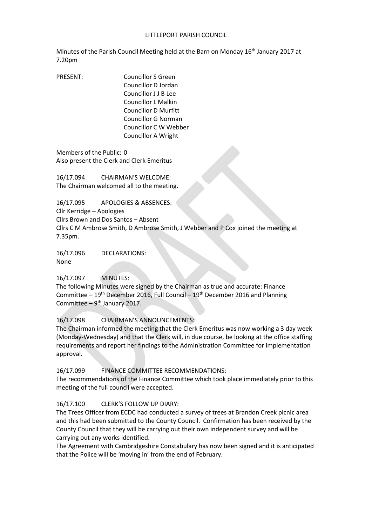### LITTLEPORT PARISH COUNCIL

Minutes of the Parish Council Meeting held at the Barn on Monday 16<sup>th</sup> January 2017 at 7.20pm

PRESENT: Councillor S Green Councillor D Jordan Councillor J J B Lee Councillor L Malkin Councillor D Murfitt Councillor G Norman Councillor C W Webber Councillor A Wright

Members of the Public: 0 Also present the Clerk and Clerk Emeritus

16/17.094 CHAIRMAN'S WELCOME: The Chairman welcomed all to the meeting.

16/17.095 APOLOGIES & ABSENCES: Cllr Kerridge – Apologies Cllrs Brown and Dos Santos – Absent Cllrs C M Ambrose Smith, D Ambrose Smith, J Webber and P Cox joined the meeting at 7.35pm.

16/17.096 DECLARATIONS: None

### 16/17.097 MINUTES:

The following Minutes were signed by the Chairman as true and accurate: Finance Committee  $-19<sup>th</sup>$  December 2016, Full Council  $-19<sup>th</sup>$  December 2016 and Planning Committee  $-9<sup>th</sup>$  January 2017.

16/17.098 CHAIRMAN'S ANNOUNCEMENTS:

The Chairman informed the meeting that the Clerk Emeritus was now working a 3 day week (Monday-Wednesday) and that the Clerk will, in due course, be looking at the office staffing requirements and report her findings to the Administration Committee for implementation approval.

16/17.099 FINANCE COMMITTEE RECOMMENDATIONS:

The recommendations of the Finance Committee which took place immediately prior to this meeting of the full council were accepted.

### 16/17.100 CLERK'S FOLLOW UP DIARY:

The Trees Officer from ECDC had conducted a survey of trees at Brandon Creek picnic area and this had been submitted to the County Council. Confirmation has been received by the County Council that they will be carrying out their own independent survey and will be carrying out any works identified.

The Agreement with Cambridgeshire Constabulary has now been signed and it is anticipated that the Police will be 'moving in' from the end of February.